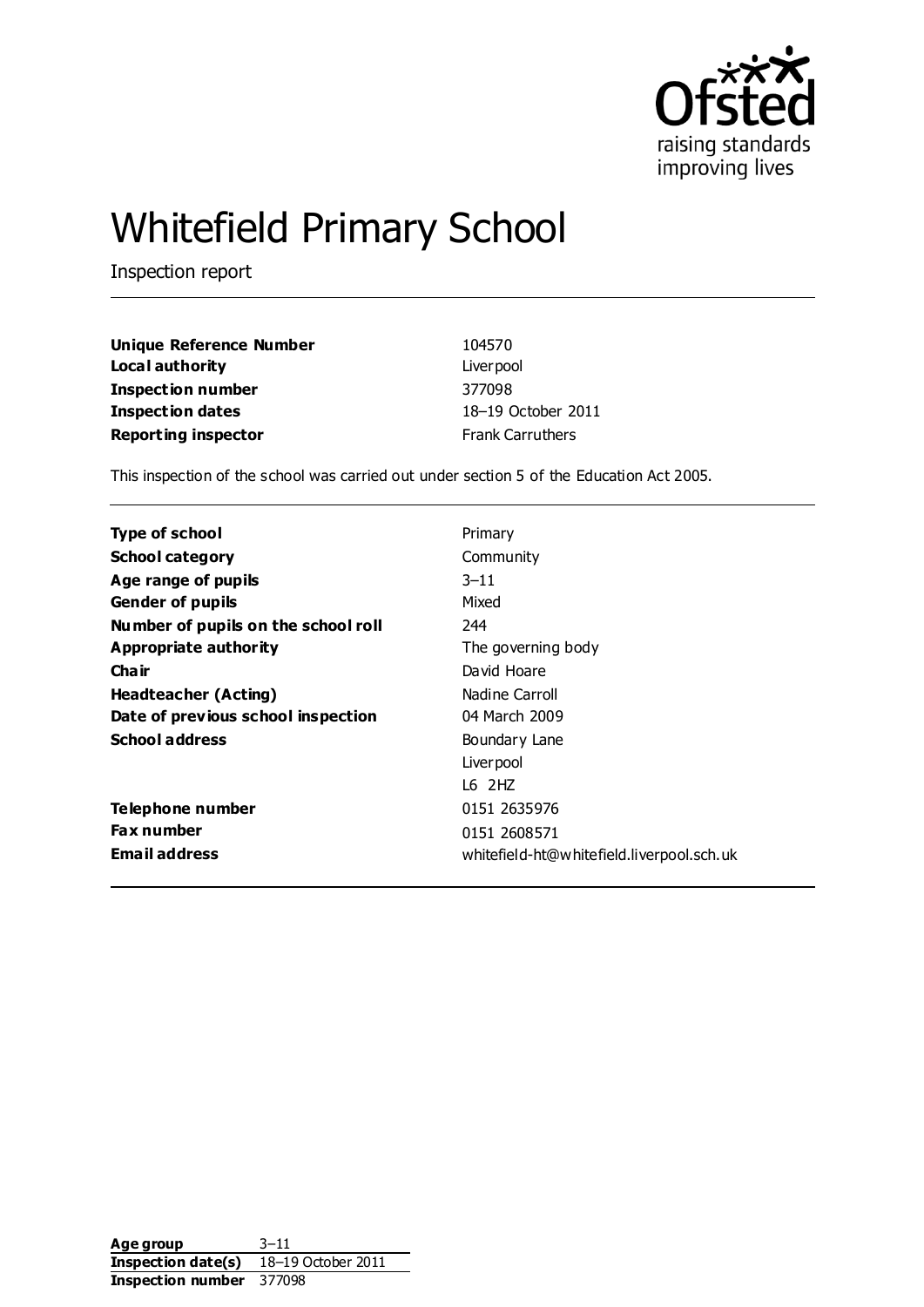

# Whitefield Primary School

Inspection report

| Unique Reference Number    | 104570                  |
|----------------------------|-------------------------|
| Local authority            | Liver pool              |
| Inspection number          | 377098                  |
| Inspection dates           | 18-19 October 2011      |
| <b>Reporting inspector</b> | <b>Frank Carruthers</b> |

This inspection of the school was carried out under section 5 of the Education Act 2005.

| <b>Type of school</b>               | Primary                                   |
|-------------------------------------|-------------------------------------------|
| <b>School category</b>              | Community                                 |
| Age range of pupils                 | $3 - 11$                                  |
| <b>Gender of pupils</b>             | Mixed                                     |
| Number of pupils on the school roll | 244                                       |
| Appropriate authority               | The governing body                        |
| Cha ir                              | David Hoare                               |
| Headteacher (Acting)                | Nadine Carroll                            |
| Date of previous school inspection  | 04 March 2009                             |
| <b>School address</b>               | Boundary Lane                             |
|                                     | Liver pool                                |
|                                     | $16$ $2HZ$                                |
| Telephone number                    | 0151 2635976                              |
| <b>Fax number</b>                   | 0151 2608571                              |
| <b>Email address</b>                | whitefield-ht@whitefield.liverpool.sch.uk |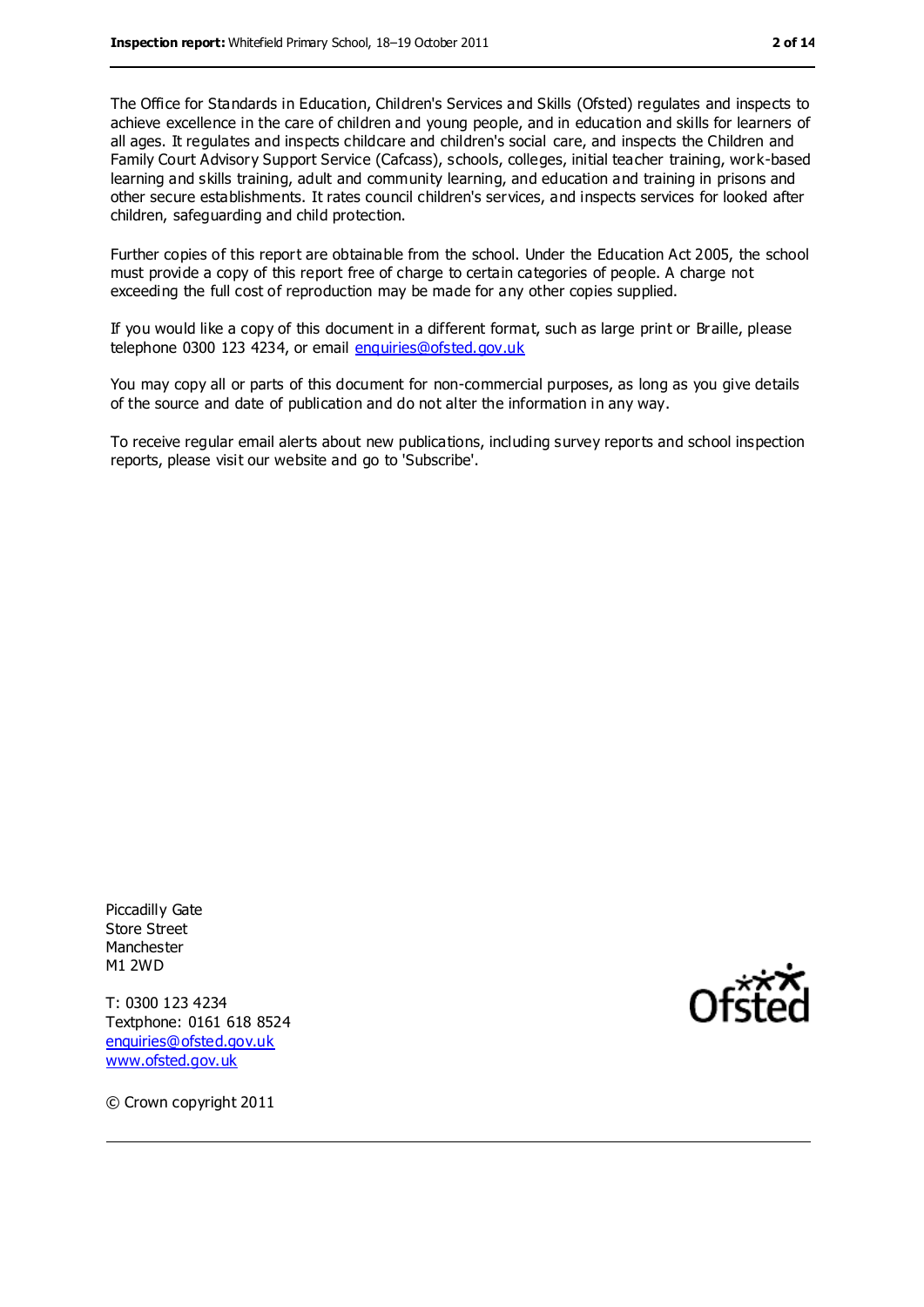The Office for Standards in Education, Children's Services and Skills (Ofsted) regulates and inspects to achieve excellence in the care of children and young people, and in education and skills for learners of all ages. It regulates and inspects childcare and children's social care, and inspects the Children and Family Court Advisory Support Service (Cafcass), schools, colleges, initial teacher training, work-based learning and skills training, adult and community learning, and education and training in prisons and other secure establishments. It rates council children's services, and inspects services for looked after children, safeguarding and child protection.

Further copies of this report are obtainable from the school. Under the Education Act 2005, the school must provide a copy of this report free of charge to certain categories of people. A charge not exceeding the full cost of reproduction may be made for any other copies supplied.

If you would like a copy of this document in a different format, such as large print or Braille, please telephone 0300 123 4234, or email [enquiries@ofsted.gov.uk](mailto:enquiries@ofsted.gov.uk)

You may copy all or parts of this document for non-commercial purposes, as long as you give details of the source and date of publication and do not alter the information in any way.

To receive regular email alerts about new publications, including survey reports and school inspection reports, please visit our website and go to 'Subscribe'.

Piccadilly Gate Store Street Manchester M1 2WD

T: 0300 123 4234 Textphone: 0161 618 8524 [enquiries@ofsted.gov.uk](mailto:enquiries@ofsted.gov.uk) [www.ofsted.gov.uk](http://www.ofsted.gov.uk/)



© Crown copyright 2011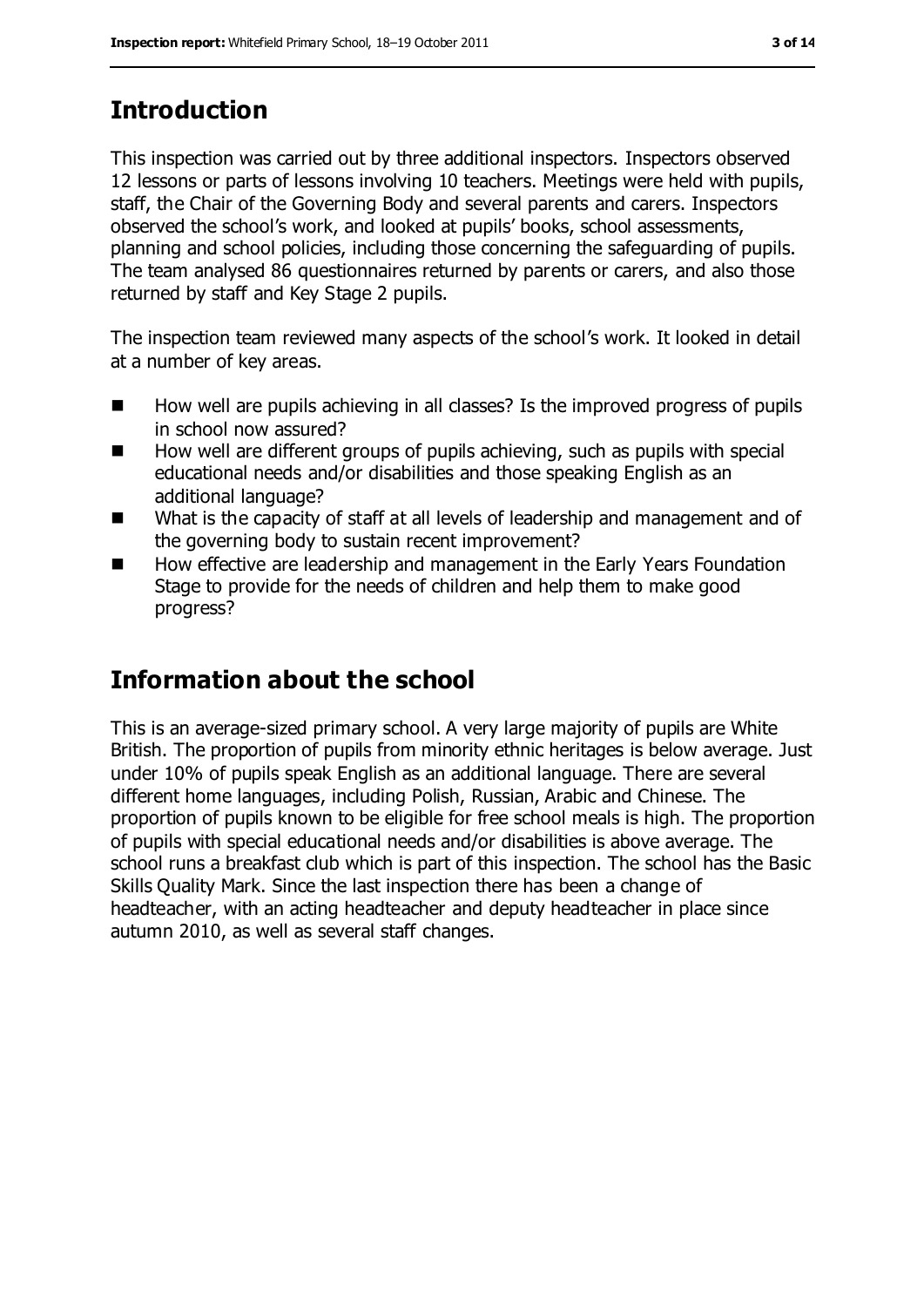# **Introduction**

This inspection was carried out by three additional inspectors. Inspectors observed 12 lessons or parts of lessons involving 10 teachers. Meetings were held with pupils, staff, the Chair of the Governing Body and several parents and carers. Inspectors observed the school's work, and looked at pupils' books, school assessments, planning and school policies, including those concerning the safeguarding of pupils. The team analysed 86 questionnaires returned by parents or carers, and also those returned by staff and Key Stage 2 pupils.

The inspection team reviewed many aspects of the school's work. It looked in detail at a number of key areas.

- $\blacksquare$  How well are pupils achieving in all classes? Is the improved progress of pupils in school now assured?
- $\blacksquare$  How well are different groups of pupils achieving, such as pupils with special educational needs and/or disabilities and those speaking English as an additional language?
- What is the capacity of staff at all levels of leadership and management and of the governing body to sustain recent improvement?
- How effective are leadership and management in the Early Years Foundation Stage to provide for the needs of children and help them to make good progress?

# **Information about the school**

This is an average-sized primary school. A very large majority of pupils are White British. The proportion of pupils from minority ethnic heritages is below average. Just under 10% of pupils speak English as an additional language. There are several different home languages, including Polish, Russian, Arabic and Chinese. The proportion of pupils known to be eligible for free school meals is high. The proportion of pupils with special educational needs and/or disabilities is above average. The school runs a breakfast club which is part of this inspection. The school has the Basic Skills Quality Mark. Since the last inspection there has been a change of headteacher, with an acting headteacher and deputy headteacher in place since autumn 2010, as well as several staff changes.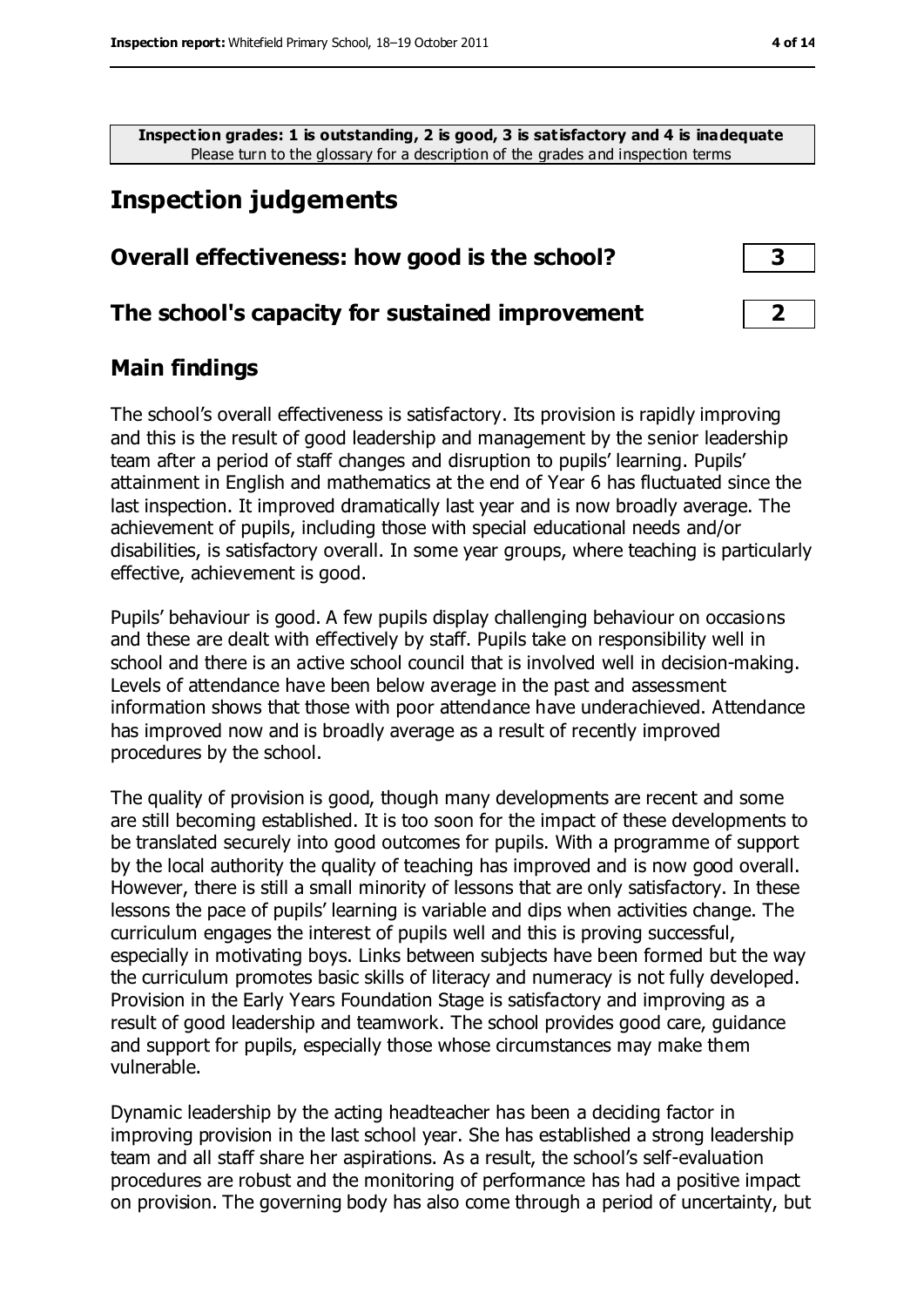**Inspection grades: 1 is outstanding, 2 is good, 3 is satisfactory and 4 is inadequate** Please turn to the glossary for a description of the grades and inspection terms

# **Inspection judgements**

### **Overall effectiveness: how good is the school? 3**

# **The school's capacity for sustained improvement 2**

# **Main findings**

The school's overall effectiveness is satisfactory. Its provision is rapidly improving and this is the result of good leadership and management by the senior leadership team after a period of staff changes and disruption to pupils' learning. Pupils' attainment in English and mathematics at the end of Year 6 has fluctuated since the last inspection. It improved dramatically last year and is now broadly average. The achievement of pupils, including those with special educational needs and/or disabilities, is satisfactory overall. In some year groups, where teaching is particularly effective, achievement is good.

Pupils' behaviour is good. A few pupils display challenging behaviour on occasions and these are dealt with effectively by staff. Pupils take on responsibility well in school and there is an active school council that is involved well in decision-making. Levels of attendance have been below average in the past and assessment information shows that those with poor attendance have underachieved. Attendance has improved now and is broadly average as a result of recently improved procedures by the school.

The quality of provision is good, though many developments are recent and some are still becoming established. It is too soon for the impact of these developments to be translated securely into good outcomes for pupils. With a programme of support by the local authority the quality of teaching has improved and is now good overall. However, there is still a small minority of lessons that are only satisfactory. In these lessons the pace of pupils' learning is variable and dips when activities change. The curriculum engages the interest of pupils well and this is proving successful, especially in motivating boys. Links between subjects have been formed but the way the curriculum promotes basic skills of literacy and numeracy is not fully developed. Provision in the Early Years Foundation Stage is satisfactory and improving as a result of good leadership and teamwork. The school provides good care, guidance and support for pupils, especially those whose circumstances may make them vulnerable.

Dynamic leadership by the acting headteacher has been a deciding factor in improving provision in the last school year. She has established a strong leadership team and all staff share her aspirations. As a result, the school's self-evaluation procedures are robust and the monitoring of performance has had a positive impact on provision. The governing body has also come through a period of uncertainty, but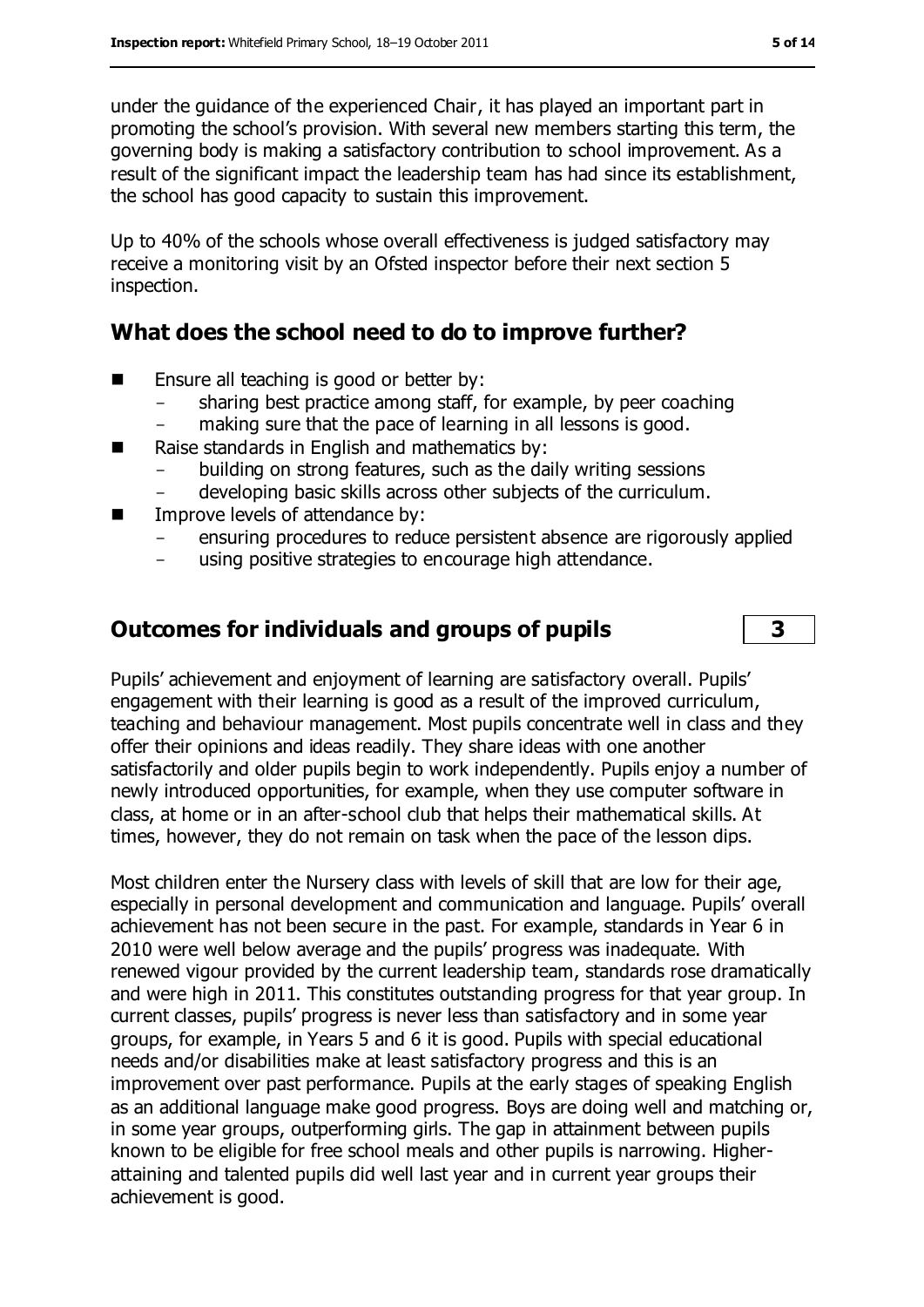under the guidance of the experienced Chair, it has played an important part in promoting the school's provision. With several new members starting this term, the governing body is making a satisfactory contribution to school improvement. As a result of the significant impact the leadership team has had since its establishment, the school has good capacity to sustain this improvement.

Up to 40% of the schools whose overall effectiveness is judged satisfactory may receive a monitoring visit by an Ofsted inspector before their next section 5 inspection.

# **What does the school need to do to improve further?**

- $\blacksquare$  Ensure all teaching is good or better by:
	- sharing best practice among staff, for example, by peer coaching
	- making sure that the pace of learning in all lessons is good.
- Raise standards in English and mathematics by:
	- building on strong features, such as the daily writing sessions
	- developing basic skills across other subjects of the curriculum.
- **IMPROVE LEVEL S** of attendance by:
	- ensuring procedures to reduce persistent absence are rigorously applied
	- using positive strategies to encourage high attendance.

# **Outcomes for individuals and groups of pupils 3**

Pupils' achievement and enjoyment of learning are satisfactory overall. Pupils' engagement with their learning is good as a result of the improved curriculum, teaching and behaviour management. Most pupils concentrate well in class and they offer their opinions and ideas readily. They share ideas with one another satisfactorily and older pupils begin to work independently. Pupils enjoy a number of newly introduced opportunities, for example, when they use computer software in class, at home or in an after-school club that helps their mathematical skills. At times, however, they do not remain on task when the pace of the lesson dips.

Most children enter the Nursery class with levels of skill that are low for their age, especially in personal development and communication and language. Pupils' overall achievement has not been secure in the past. For example, standards in Year 6 in 2010 were well below average and the pupils' progress was inadequate. With renewed vigour provided by the current leadership team, standards rose dramatically and were high in 2011. This constitutes outstanding progress for that year group. In current classes, pupils' progress is never less than satisfactory and in some year groups, for example, in Years 5 and 6 it is good. Pupils with special educational needs and/or disabilities make at least satisfactory progress and this is an improvement over past performance. Pupils at the early stages of speaking English as an additional language make good progress. Boys are doing well and matching or, in some year groups, outperforming girls. The gap in attainment between pupils known to be eligible for free school meals and other pupils is narrowing. Higherattaining and talented pupils did well last year and in current year groups their achievement is good.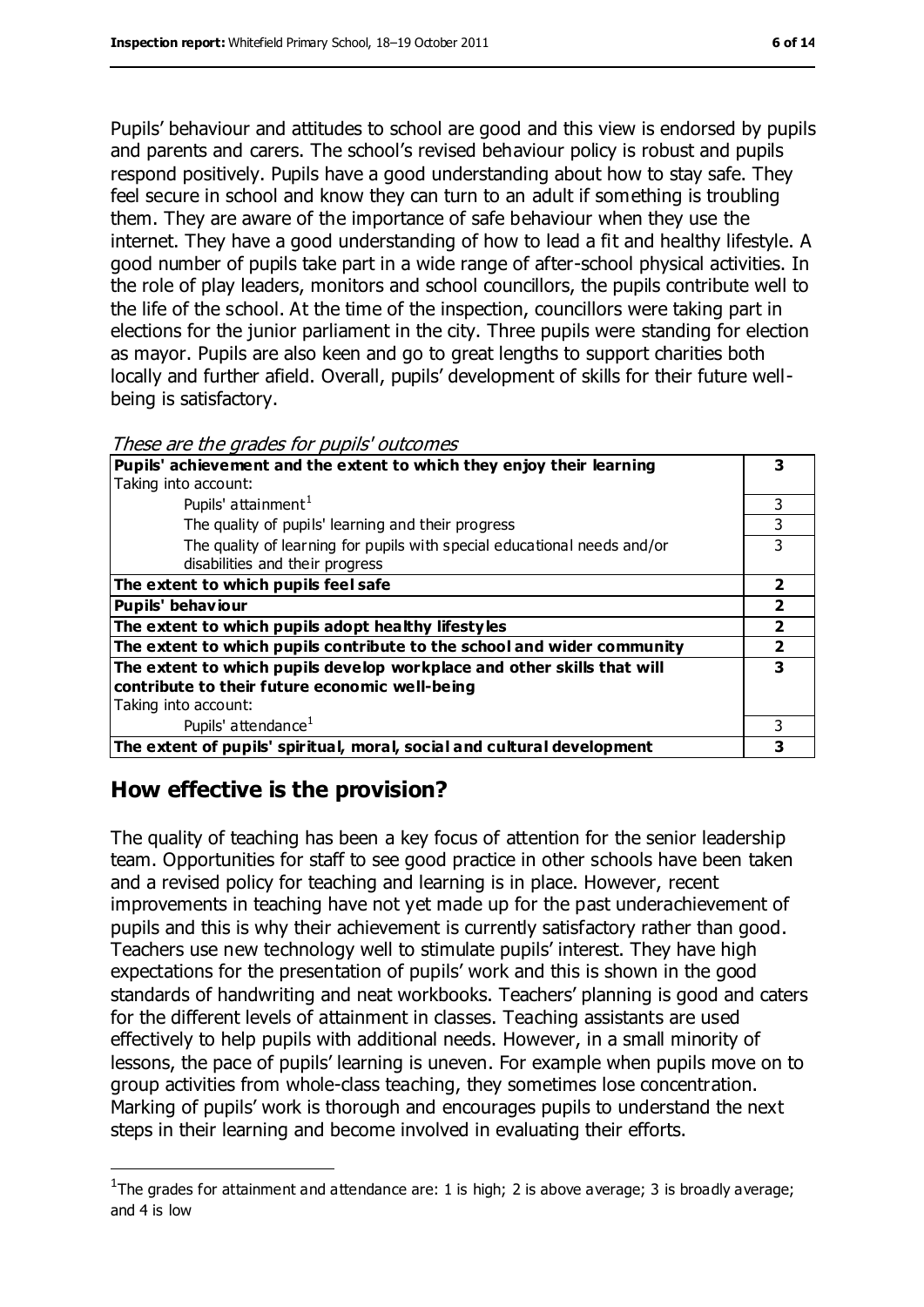Pupils' behaviour and attitudes to school are good and this view is endorsed by pupils and parents and carers. The school's revised behaviour policy is robust and pupils respond positively. Pupils have a good understanding about how to stay safe. They feel secure in school and know they can turn to an adult if something is troubling them. They are aware of the importance of safe behaviour when they use the internet. They have a good understanding of how to lead a fit and healthy lifestyle. A good number of pupils take part in a wide range of after-school physical activities. In the role of play leaders, monitors and school councillors, the pupils contribute well to the life of the school. At the time of the inspection, councillors were taking part in elections for the junior parliament in the city. Three pupils were standing for election as mayor. Pupils are also keen and go to great lengths to support charities both locally and further afield. Overall, pupils' development of skills for their future wellbeing is satisfactory.

| These are the grades for pupils' outcomes |  |
|-------------------------------------------|--|
|-------------------------------------------|--|

| Pupils' achievement and the extent to which they enjoy their learning    |   |
|--------------------------------------------------------------------------|---|
| Taking into account:                                                     |   |
| Pupils' attainment <sup>1</sup>                                          | 3 |
| The quality of pupils' learning and their progress                       | 3 |
| The quality of learning for pupils with special educational needs and/or |   |
| disabilities and their progress                                          |   |
| The extent to which pupils feel safe                                     |   |
| Pupils' behaviour                                                        |   |
| The extent to which pupils adopt healthy lifestyles                      |   |
| The extent to which pupils contribute to the school and wider community  |   |
| The extent to which pupils develop workplace and other skills that will  | 3 |
| contribute to their future economic well-being                           |   |
| Taking into account:                                                     |   |
| Pupils' attendance <sup>1</sup>                                          |   |
| The extent of pupils' spiritual, moral, social and cultural development  |   |

# **How effective is the provision?**

 $\overline{a}$ 

The quality of teaching has been a key focus of attention for the senior leadership team. Opportunities for staff to see good practice in other schools have been taken and a revised policy for teaching and learning is in place. However, recent improvements in teaching have not yet made up for the past underachievement of pupils and this is why their achievement is currently satisfactory rather than good. Teachers use new technology well to stimulate pupils' interest. They have high expectations for the presentation of pupils' work and this is shown in the good standards of handwriting and neat workbooks. Teachers' planning is good and caters for the different levels of attainment in classes. Teaching assistants are used effectively to help pupils with additional needs. However, in a small minority of lessons, the pace of pupils' learning is uneven. For example when pupils move on to group activities from whole-class teaching, they sometimes lose concentration. Marking of pupils' work is thorough and encourages pupils to understand the next steps in their learning and become involved in evaluating their efforts.

<sup>&</sup>lt;sup>1</sup>The grades for attainment and attendance are: 1 is high; 2 is above average; 3 is broadly average; and 4 is low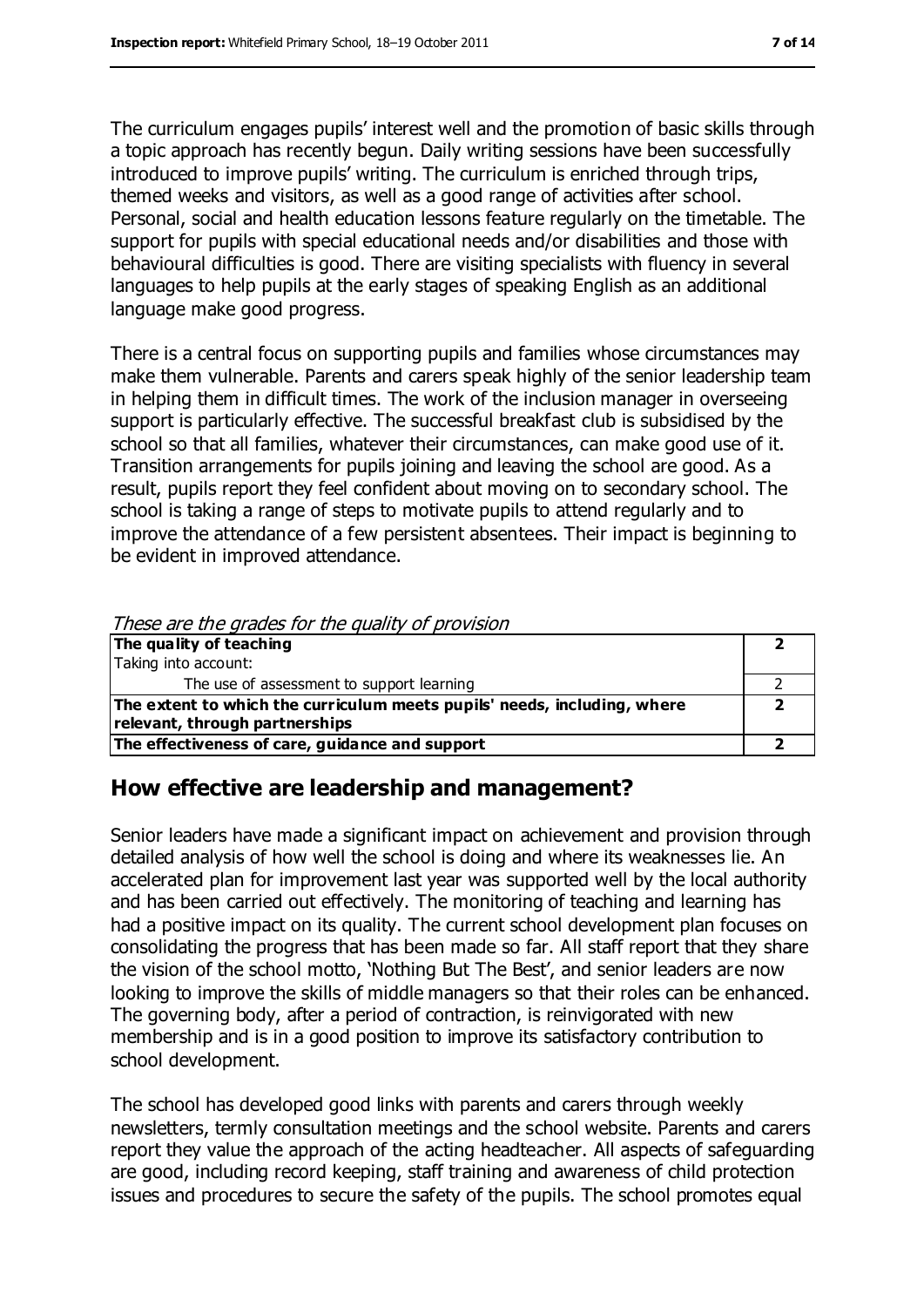The curriculum engages pupils' interest well and the promotion of basic skills through a topic approach has recently begun. Daily writing sessions have been successfully introduced to improve pupils' writing. The curriculum is enriched through trips, themed weeks and visitors, as well as a good range of activities after school. Personal, social and health education lessons feature regularly on the timetable. The support for pupils with special educational needs and/or disabilities and those with behavioural difficulties is good. There are visiting specialists with fluency in several languages to help pupils at the early stages of speaking English as an additional language make good progress.

There is a central focus on supporting pupils and families whose circumstances may make them vulnerable. Parents and carers speak highly of the senior leadership team in helping them in difficult times. The work of the inclusion manager in overseeing support is particularly effective. The successful breakfast club is subsidised by the school so that all families, whatever their circumstances, can make good use of it. Transition arrangements for pupils joining and leaving the school are good. As a result, pupils report they feel confident about moving on to secondary school. The school is taking a range of steps to motivate pupils to attend regularly and to improve the attendance of a few persistent absentees. Their impact is beginning to be evident in improved attendance.

| These are the grades for the quality of provision                        |  |
|--------------------------------------------------------------------------|--|
| The quality of teaching                                                  |  |
| Taking into account:                                                     |  |
| The use of assessment to support learning                                |  |
| The extent to which the curriculum meets pupils' needs, including, where |  |
| relevant, through partnerships                                           |  |
| The effectiveness of care, guidance and support                          |  |

#### These are the grades for the quality of provision

# **How effective are leadership and management?**

Senior leaders have made a significant impact on achievement and provision through detailed analysis of how well the school is doing and where its weaknesses lie. An accelerated plan for improvement last year was supported well by the local authority and has been carried out effectively. The monitoring of teaching and learning has had a positive impact on its quality. The current school development plan focuses on consolidating the progress that has been made so far. All staff report that they share the vision of the school motto, 'Nothing But The Best', and senior leaders are now looking to improve the skills of middle managers so that their roles can be enhanced. The governing body, after a period of contraction, is reinvigorated with new membership and is in a good position to improve its satisfactory contribution to school development.

The school has developed good links with parents and carers through weekly newsletters, termly consultation meetings and the school website. Parents and carers report they value the approach of the acting headteacher. All aspects of safeguarding are good, including record keeping, staff training and awareness of child protection issues and procedures to secure the safety of the pupils. The school promotes equal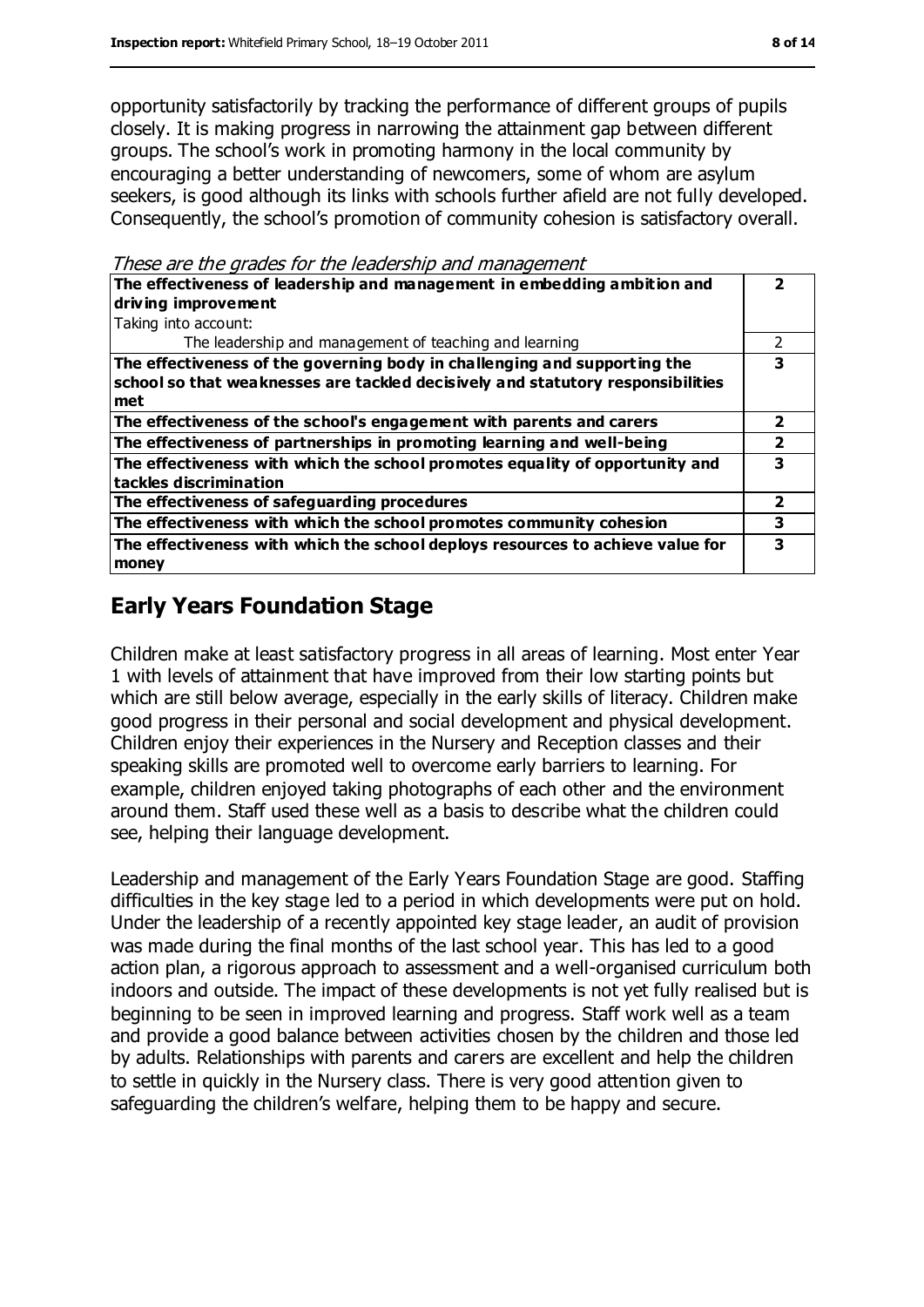opportunity satisfactorily by tracking the performance of different groups of pupils closely. It is making progress in narrowing the attainment gap between different groups. The school's work in promoting harmony in the local community by encouraging a better understanding of newcomers, some of whom are asylum seekers, is good although its links with schools further afield are not fully developed. Consequently, the school's promotion of community cohesion is satisfactory overall.

These are the grades for the leadership and management

| The effectiveness of leadership and management in embedding ambition and<br>driving improvement                                                                     |   |
|---------------------------------------------------------------------------------------------------------------------------------------------------------------------|---|
| Taking into account:                                                                                                                                                |   |
| The leadership and management of teaching and learning                                                                                                              |   |
| The effectiveness of the governing body in challenging and supporting the<br>school so that weaknesses are tackled decisively and statutory responsibilities<br>met | 3 |
| The effectiveness of the school's engagement with parents and carers                                                                                                |   |
| The effectiveness of partnerships in promoting learning and well-being                                                                                              |   |
| The effectiveness with which the school promotes equality of opportunity and<br>tackles discrimination                                                              |   |
| The effectiveness of safeguarding procedures                                                                                                                        | 2 |
| The effectiveness with which the school promotes community cohesion                                                                                                 | 3 |
| The effectiveness with which the school deploys resources to achieve value for<br>money                                                                             | 3 |

# **Early Years Foundation Stage**

Children make at least satisfactory progress in all areas of learning. Most enter Year 1 with levels of attainment that have improved from their low starting points but which are still below average, especially in the early skills of literacy. Children make good progress in their personal and social development and physical development. Children enjoy their experiences in the Nursery and Reception classes and their speaking skills are promoted well to overcome early barriers to learning. For example, children enjoyed taking photographs of each other and the environment around them. Staff used these well as a basis to describe what the children could see, helping their language development.

Leadership and management of the Early Years Foundation Stage are good. Staffing difficulties in the key stage led to a period in which developments were put on hold. Under the leadership of a recently appointed key stage leader, an audit of provision was made during the final months of the last school year. This has led to a good action plan, a rigorous approach to assessment and a well-organised curriculum both indoors and outside. The impact of these developments is not yet fully realised but is beginning to be seen in improved learning and progress. Staff work well as a team and provide a good balance between activities chosen by the children and those led by adults. Relationships with parents and carers are excellent and help the children to settle in quickly in the Nursery class. There is very good attention given to safeguarding the children's welfare, helping them to be happy and secure.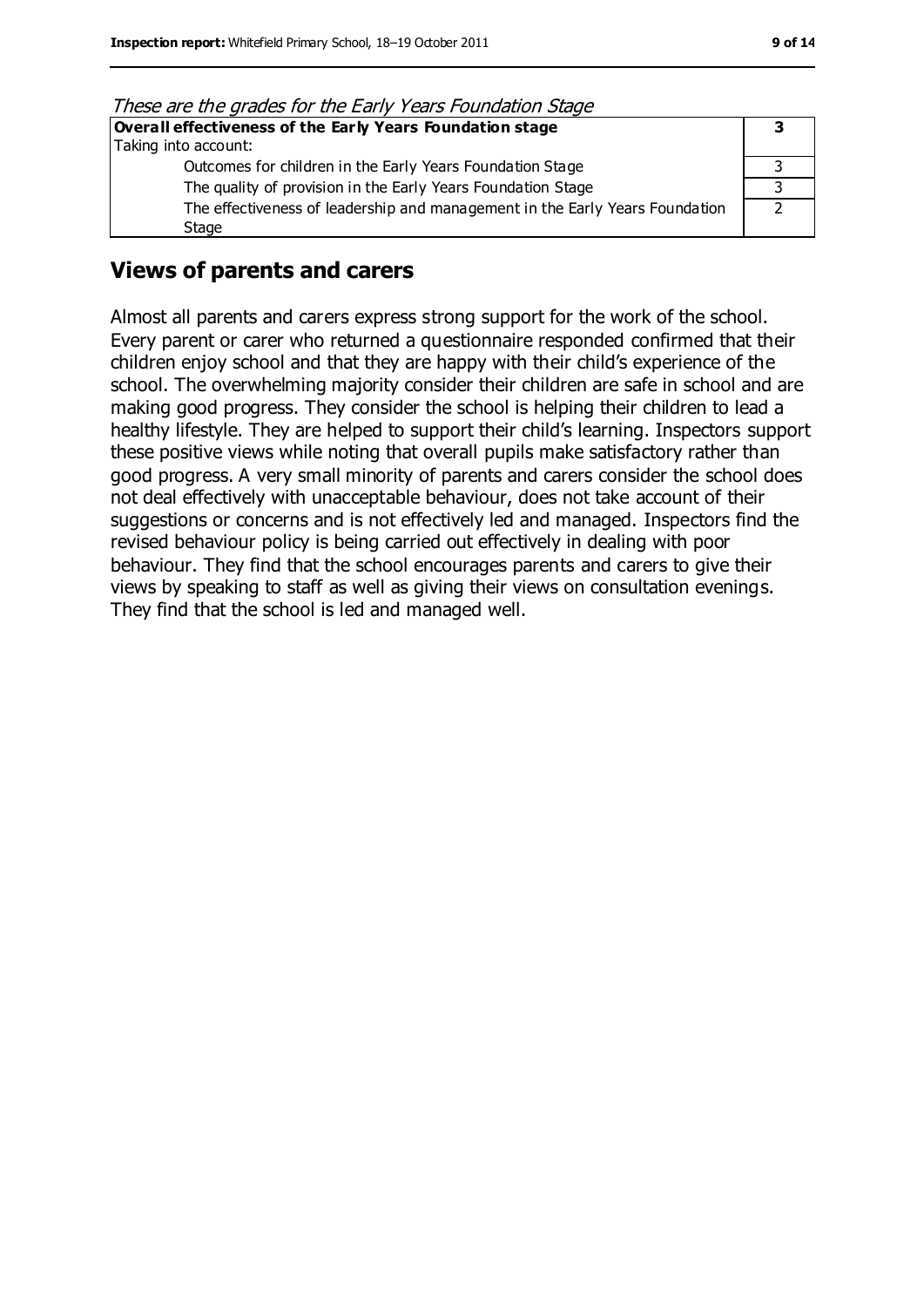| THESE are the grades for the Early Teals Foundation Stage                    |  |
|------------------------------------------------------------------------------|--|
| Overall effectiveness of the Early Years Foundation stage                    |  |
| Taking into account:                                                         |  |
| Outcomes for children in the Early Years Foundation Stage                    |  |
| The quality of provision in the Early Years Foundation Stage                 |  |
| The effectiveness of leadership and management in the Early Years Foundation |  |
| Stage                                                                        |  |

These are the grades for the Early Years Foundation Stage

# **Views of parents and carers**

Almost all parents and carers express strong support for the work of the school. Every parent or carer who returned a questionnaire responded confirmed that their children enjoy school and that they are happy with their child's experience of the school. The overwhelming majority consider their children are safe in school and are making good progress. They consider the school is helping their children to lead a healthy lifestyle. They are helped to support their child's learning. Inspectors support these positive views while noting that overall pupils make satisfactory rather than good progress. A very small minority of parents and carers consider the school does not deal effectively with unacceptable behaviour, does not take account of their suggestions or concerns and is not effectively led and managed. Inspectors find the revised behaviour policy is being carried out effectively in dealing with poor behaviour. They find that the school encourages parents and carers to give their views by speaking to staff as well as giving their views on consultation evenings. They find that the school is led and managed well.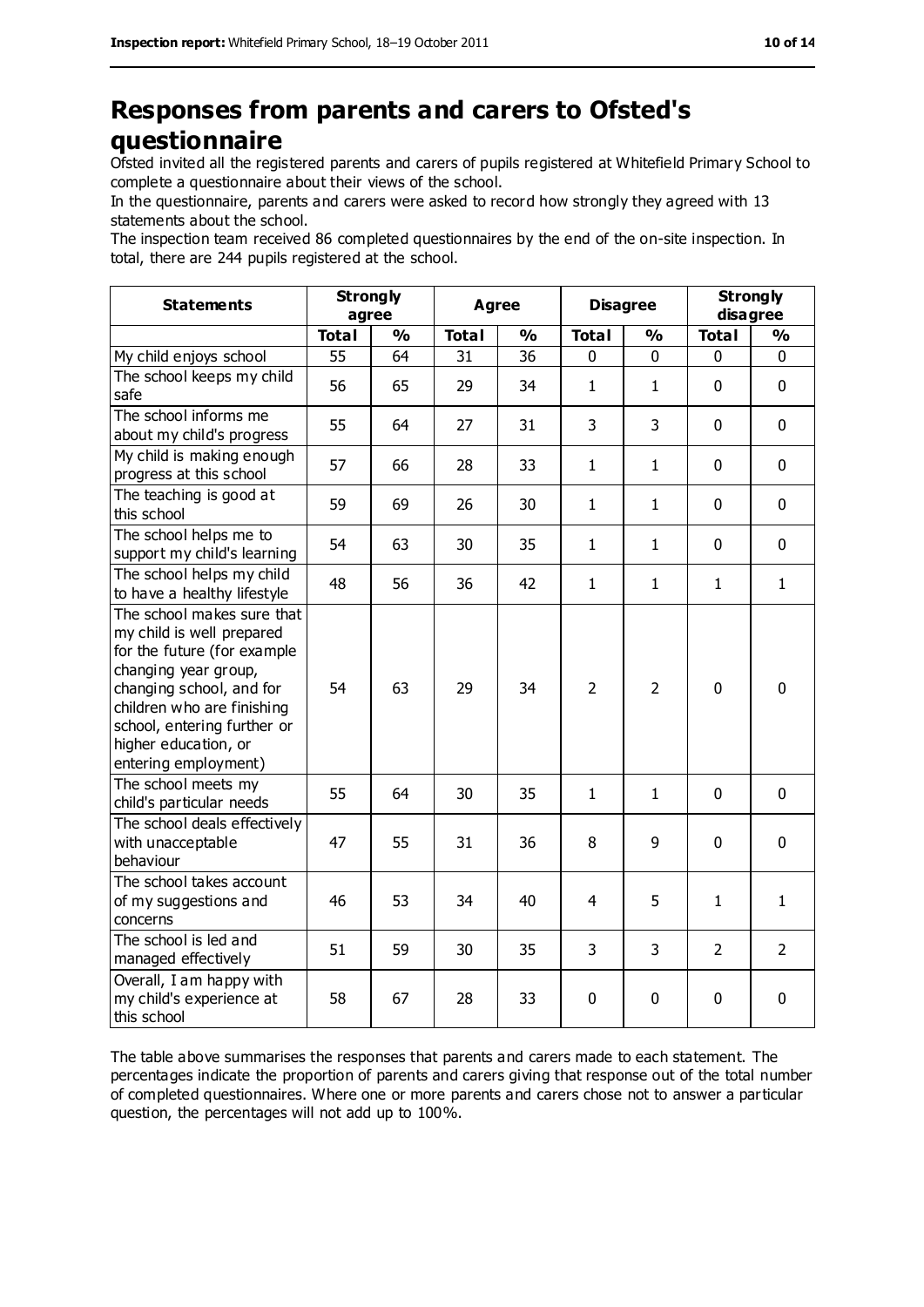# **Responses from parents and carers to Ofsted's questionnaire**

Ofsted invited all the registered parents and carers of pupils registered at Whitefield Primary School to complete a questionnaire about their views of the school.

In the questionnaire, parents and carers were asked to record how strongly they agreed with 13 statements about the school.

The inspection team received 86 completed questionnaires by the end of the on-site inspection. In total, there are 244 pupils registered at the school.

| <b>Statements</b>                                                                                                                                                                                                                                       | <b>Strongly</b><br>agree |               | <b>Agree</b> |               | <b>Disagree</b> |                | <b>Strongly</b><br>disagree |                |
|---------------------------------------------------------------------------------------------------------------------------------------------------------------------------------------------------------------------------------------------------------|--------------------------|---------------|--------------|---------------|-----------------|----------------|-----------------------------|----------------|
|                                                                                                                                                                                                                                                         | <b>Total</b>             | $\frac{0}{0}$ | <b>Total</b> | $\frac{0}{0}$ | <b>Total</b>    | $\frac{1}{2}$  | <b>Total</b>                | $\frac{0}{0}$  |
| My child enjoys school                                                                                                                                                                                                                                  | 55                       | 64            | 31           | 36            | 0               | 0              | 0                           | 0              |
| The school keeps my child<br>safe                                                                                                                                                                                                                       | 56                       | 65            | 29           | 34            | $\mathbf{1}$    | $\mathbf{1}$   | $\mathbf 0$                 | $\mathbf 0$    |
| The school informs me<br>about my child's progress                                                                                                                                                                                                      | 55                       | 64            | 27           | 31            | 3               | 3              | $\mathbf 0$                 | $\mathbf 0$    |
| My child is making enough<br>progress at this school                                                                                                                                                                                                    | 57                       | 66            | 28           | 33            | $\mathbf{1}$    | $\mathbf{1}$   | $\mathbf 0$                 | $\mathbf 0$    |
| The teaching is good at<br>this school                                                                                                                                                                                                                  | 59                       | 69            | 26           | 30            | $\mathbf{1}$    | $\mathbf{1}$   | $\mathbf 0$                 | $\mathbf 0$    |
| The school helps me to<br>support my child's learning                                                                                                                                                                                                   | 54                       | 63            | 30           | 35            | $\mathbf{1}$    | $\mathbf{1}$   | $\mathbf 0$                 | $\mathbf 0$    |
| The school helps my child<br>to have a healthy lifestyle                                                                                                                                                                                                | 48                       | 56            | 36           | 42            | $\mathbf{1}$    | $\mathbf{1}$   | $\mathbf{1}$                | $\mathbf{1}$   |
| The school makes sure that<br>my child is well prepared<br>for the future (for example<br>changing year group,<br>changing school, and for<br>children who are finishing<br>school, entering further or<br>higher education, or<br>entering employment) | 54                       | 63            | 29           | 34            | $\overline{2}$  | $\overline{2}$ | $\mathbf 0$                 | $\mathbf 0$    |
| The school meets my<br>child's particular needs                                                                                                                                                                                                         | 55                       | 64            | 30           | 35            | $\mathbf{1}$    | $\mathbf{1}$   | $\mathbf 0$                 | $\mathbf 0$    |
| The school deals effectively<br>with unacceptable<br>behaviour                                                                                                                                                                                          | 47                       | 55            | 31           | 36            | 8               | 9              | $\mathbf 0$                 | $\mathbf 0$    |
| The school takes account<br>of my suggestions and<br>concerns                                                                                                                                                                                           | 46                       | 53            | 34           | 40            | 4               | 5              | $\mathbf{1}$                | $\mathbf{1}$   |
| The school is led and<br>managed effectively                                                                                                                                                                                                            | 51                       | 59            | 30           | 35            | 3               | 3              | $\overline{2}$              | $\overline{2}$ |
| Overall, I am happy with<br>my child's experience at<br>this school                                                                                                                                                                                     | 58                       | 67            | 28           | 33            | 0               | $\mathbf 0$    | 0                           | 0              |

The table above summarises the responses that parents and carers made to each statement. The percentages indicate the proportion of parents and carers giving that response out of the total number of completed questionnaires. Where one or more parents and carers chose not to answer a particular question, the percentages will not add up to 100%.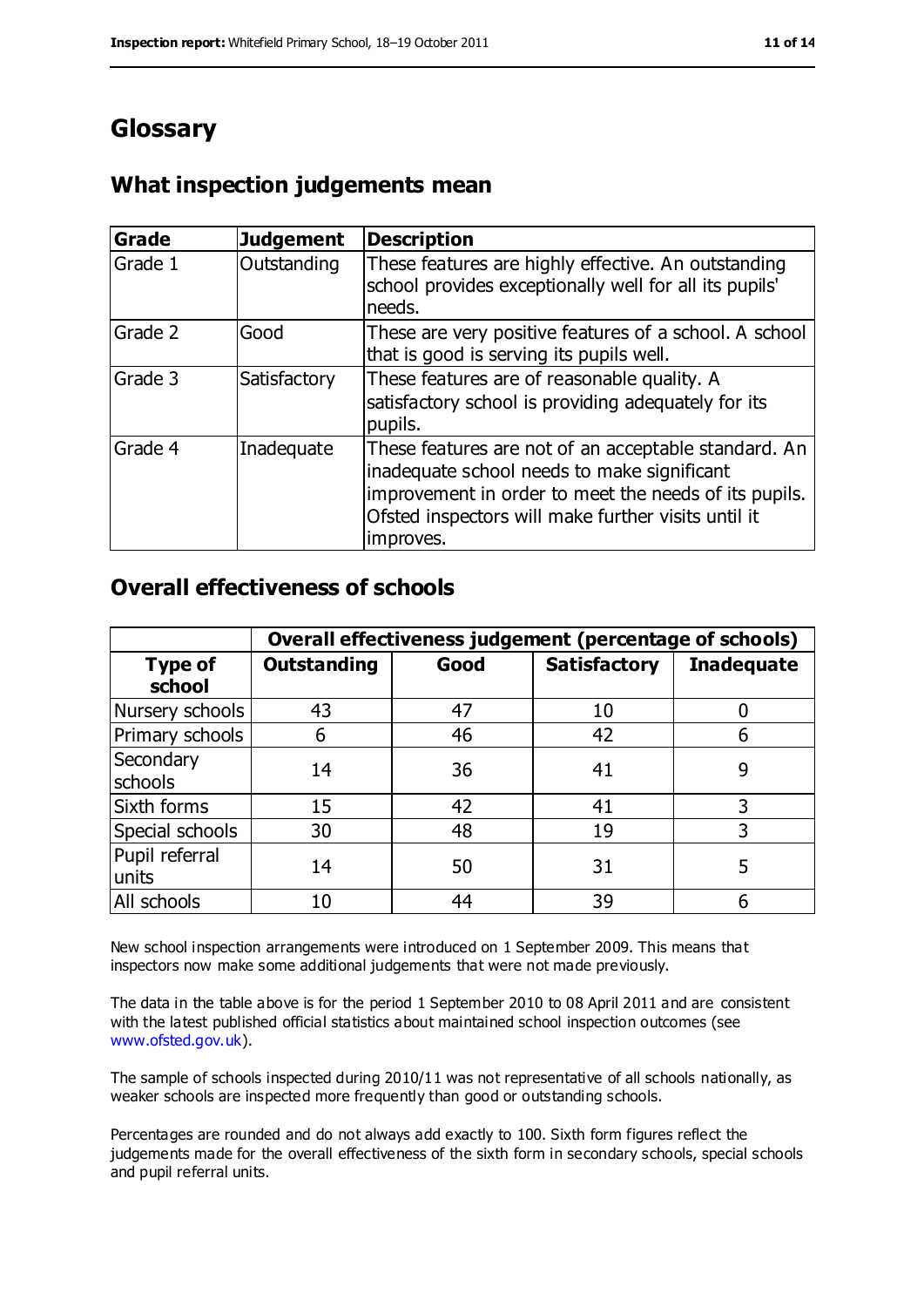# **Glossary**

# **What inspection judgements mean**

| <b>Grade</b> | <b>Judgement</b> | <b>Description</b>                                                                                                                                                                                                               |
|--------------|------------------|----------------------------------------------------------------------------------------------------------------------------------------------------------------------------------------------------------------------------------|
| Grade 1      | Outstanding      | These features are highly effective. An outstanding<br>school provides exceptionally well for all its pupils'<br>needs.                                                                                                          |
| Grade 2      | Good             | These are very positive features of a school. A school<br>that is good is serving its pupils well.                                                                                                                               |
| Grade 3      | Satisfactory     | These features are of reasonable quality. A<br>satisfactory school is providing adequately for its<br>pupils.                                                                                                                    |
| Grade 4      | Inadequate       | These features are not of an acceptable standard. An<br>inadequate school needs to make significant<br>improvement in order to meet the needs of its pupils.<br>Ofsted inspectors will make further visits until it<br>improves. |

# **Overall effectiveness of schools**

|                          | Overall effectiveness judgement (percentage of schools) |      |                     |                   |
|--------------------------|---------------------------------------------------------|------|---------------------|-------------------|
| <b>Type of</b><br>school | <b>Outstanding</b>                                      | Good | <b>Satisfactory</b> | <b>Inadequate</b> |
| Nursery schools          | 43                                                      | 47   | 10                  |                   |
| Primary schools          | 6                                                       | 46   | 42                  |                   |
| Secondary<br>schools     | 14                                                      | 36   | 41                  | 9                 |
| Sixth forms              | 15                                                      | 42   | 41                  | 3                 |
| Special schools          | 30                                                      | 48   | 19                  | 3                 |
| Pupil referral<br>units  | 14                                                      | 50   | 31                  | 5                 |
| All schools              | 10                                                      | 44   | 39                  |                   |

New school inspection arrangements were introduced on 1 September 2009. This means that inspectors now make some additional judgements that were not made previously.

The data in the table above is for the period 1 September 2010 to 08 April 2011 and are consistent with the latest published official statistics about maintained school inspection outcomes (see [www.ofsted.gov.uk\)](http://www.ofsted.gov.uk/).

The sample of schools inspected during 2010/11 was not representative of all schools nationally, as weaker schools are inspected more frequently than good or outstanding schools.

Percentages are rounded and do not always add exactly to 100. Sixth form figures reflect the judgements made for the overall effectiveness of the sixth form in secondary schools, special schools and pupil referral units.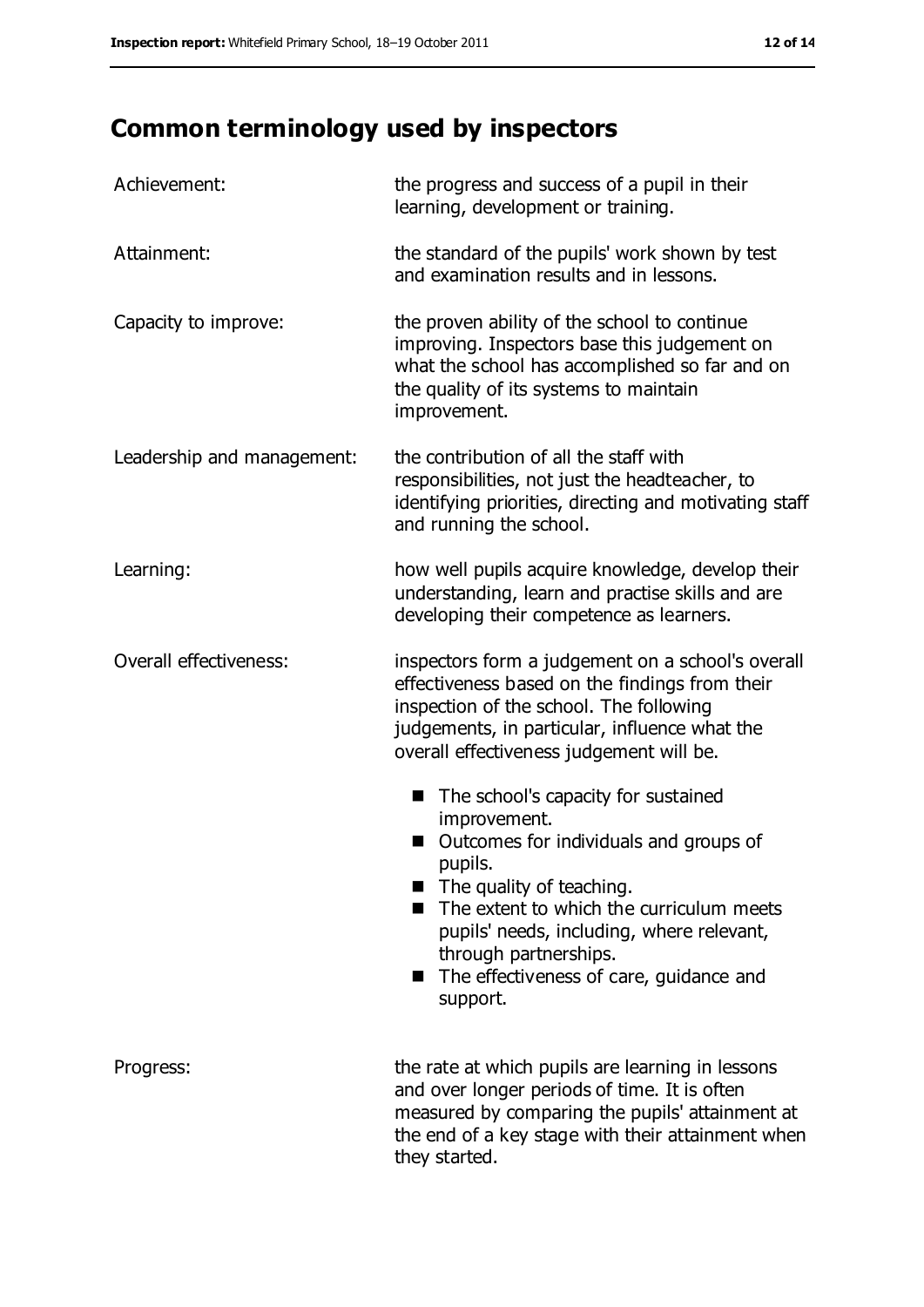# **Common terminology used by inspectors**

| Achievement:               | the progress and success of a pupil in their<br>learning, development or training.                                                                                                                                                                                                                                 |
|----------------------------|--------------------------------------------------------------------------------------------------------------------------------------------------------------------------------------------------------------------------------------------------------------------------------------------------------------------|
| Attainment:                | the standard of the pupils' work shown by test<br>and examination results and in lessons.                                                                                                                                                                                                                          |
| Capacity to improve:       | the proven ability of the school to continue<br>improving. Inspectors base this judgement on<br>what the school has accomplished so far and on<br>the quality of its systems to maintain<br>improvement.                                                                                                           |
| Leadership and management: | the contribution of all the staff with<br>responsibilities, not just the headteacher, to<br>identifying priorities, directing and motivating staff<br>and running the school.                                                                                                                                      |
| Learning:                  | how well pupils acquire knowledge, develop their<br>understanding, learn and practise skills and are<br>developing their competence as learners.                                                                                                                                                                   |
| Overall effectiveness:     | inspectors form a judgement on a school's overall<br>effectiveness based on the findings from their<br>inspection of the school. The following<br>judgements, in particular, influence what the<br>overall effectiveness judgement will be.                                                                        |
|                            | The school's capacity for sustained<br>improvement.<br>Outcomes for individuals and groups of<br>pupils.<br>The quality of teaching.<br>The extent to which the curriculum meets<br>pupils' needs, including, where relevant,<br>through partnerships.<br>The effectiveness of care, guidance and<br>■<br>support. |
| Progress:                  | the rate at which pupils are learning in lessons<br>and over longer periods of time. It is often<br>measured by comparing the pupils' attainment at<br>the end of a key stage with their attainment when<br>they started.                                                                                          |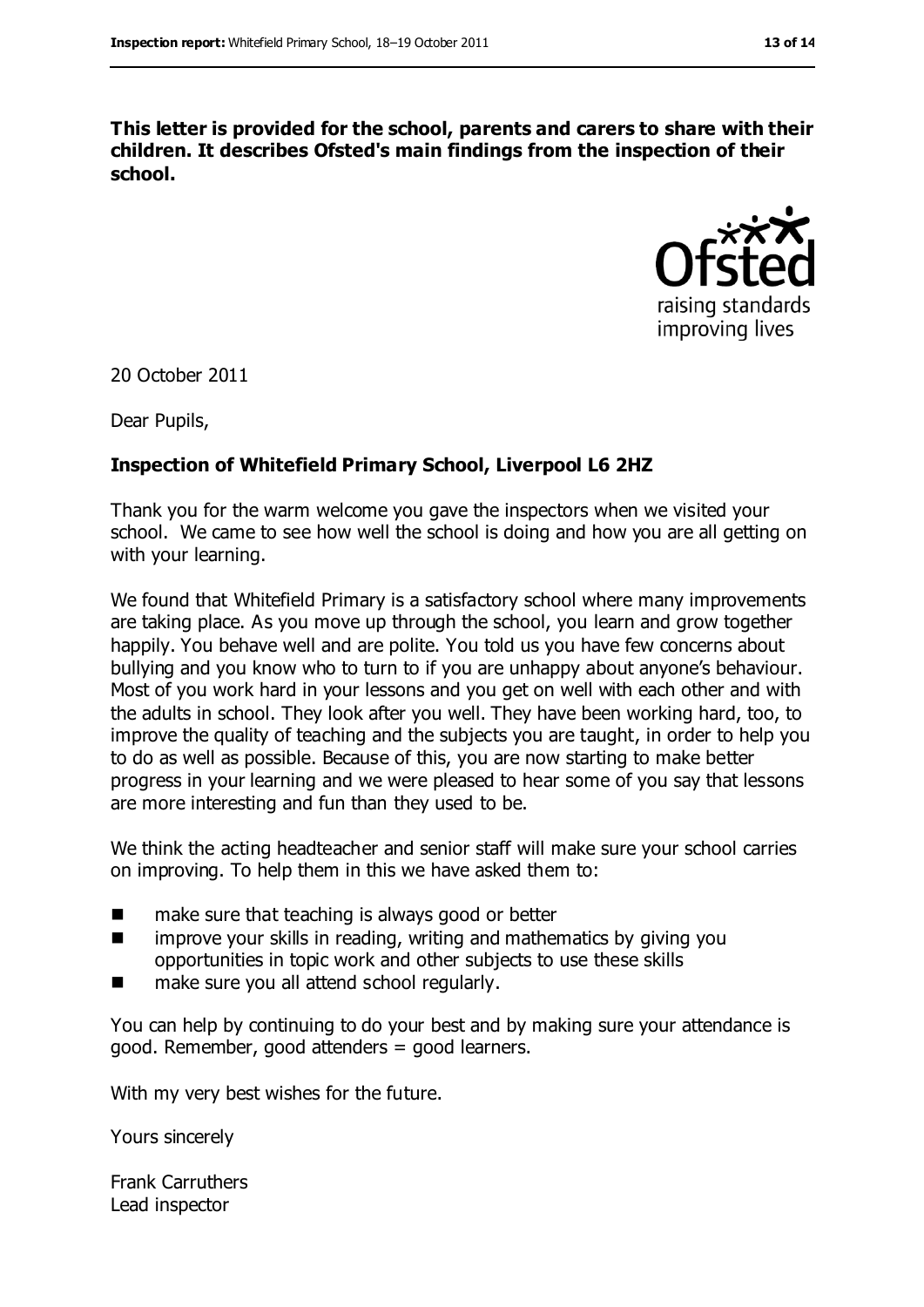**This letter is provided for the school, parents and carers to share with their children. It describes Ofsted's main findings from the inspection of their school.**



20 October 2011

Dear Pupils,

#### **Inspection of Whitefield Primary School, Liverpool L6 2HZ**

Thank you for the warm welcome you gave the inspectors when we visited your school. We came to see how well the school is doing and how you are all getting on with your learning.

We found that Whitefield Primary is a satisfactory school where many improvements are taking place. As you move up through the school, you learn and grow together happily. You behave well and are polite. You told us you have few concerns about bullying and you know who to turn to if you are unhappy about anyone's behaviour. Most of you work hard in your lessons and you get on well with each other and with the adults in school. They look after you well. They have been working hard, too, to improve the quality of teaching and the subjects you are taught, in order to help you to do as well as possible. Because of this, you are now starting to make better progress in your learning and we were pleased to hear some of you say that lessons are more interesting and fun than they used to be.

We think the acting headteacher and senior staff will make sure your school carries on improving. To help them in this we have asked them to:

- $\blacksquare$  make sure that teaching is always good or better
- **I** improve your skills in reading, writing and mathematics by giving you opportunities in topic work and other subjects to use these skills
- make sure you all attend school regularly.

You can help by continuing to do your best and by making sure your attendance is good. Remember, good attenders = good learners.

With my very best wishes for the future.

Yours sincerely

Frank Carruthers Lead inspector